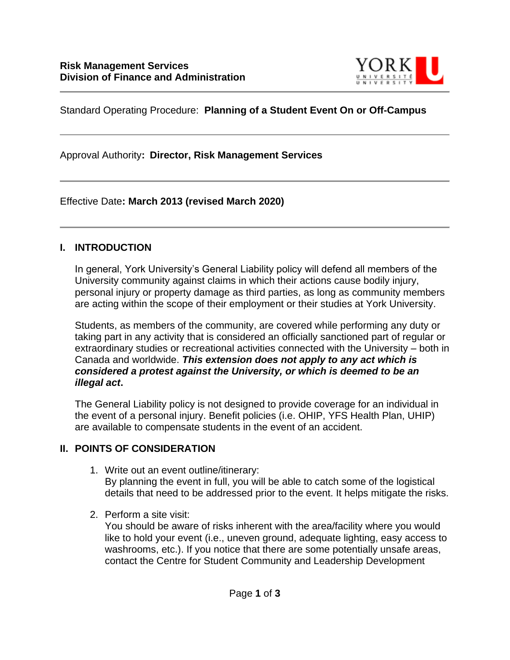

Standard Operating Procedure: **Planning of a Student Event On or Off-Campus**

Approval Authority**: Director, Risk Management Services**

Effective Date**: March 2013 (revised March 2020)**

## **I. INTRODUCTION**

In general, York University's General Liability policy will defend all members of the University community against claims in which their actions cause bodily injury, personal injury or property damage as third parties, as long as community members are acting within the scope of their employment or their studies at York University.

Students, as members of the community, are covered while performing any duty or taking part in any activity that is considered an officially sanctioned part of regular or extraordinary studies or recreational activities connected with the University – both in Canada and worldwide. *This extension does not apply to any act which is considered a protest against the University, or which is deemed to be an illegal act***.**

The General Liability policy is not designed to provide coverage for an individual in the event of a personal injury. Benefit policies (i.e. OHIP, YFS Health Plan, UHIP) are available to compensate students in the event of an accident.

## **II. POINTS OF CONSIDERATION**

- 1. Write out an event outline/itinerary: By planning the event in full, you will be able to catch some of the logistical details that need to be addressed prior to the event. It helps mitigate the risks.
- 2. Perform a site visit:

You should be aware of risks inherent with the area/facility where you would like to hold your event (i.e., uneven ground, adequate lighting, easy access to washrooms, etc.). If you notice that there are some potentially unsafe areas, contact the Centre for Student Community and Leadership Development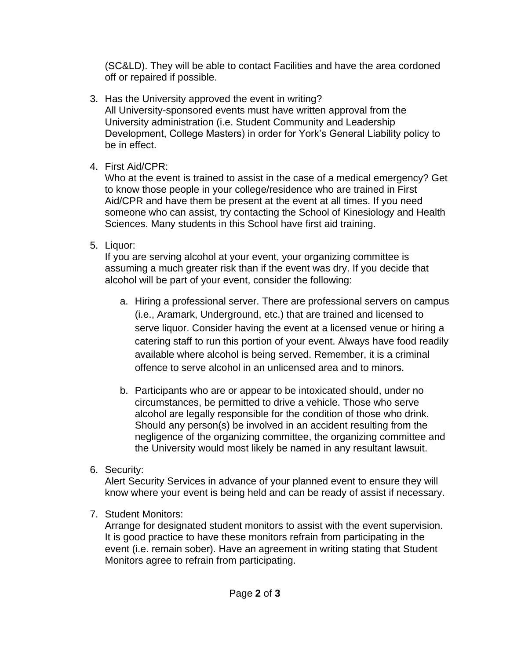(SC&LD). They will be able to contact Facilities and have the area cordoned off or repaired if possible.

- 3. Has the University approved the event in writing? All University-sponsored events must have written approval from the University administration (i.e. Student Community and Leadership Development, College Masters) in order for York's General Liability policy to be in effect.
- 4. First Aid/CPR:

Who at the event is trained to assist in the case of a medical emergency? Get to know those people in your college/residence who are trained in First Aid/CPR and have them be present at the event at all times. If you need someone who can assist, try contacting the School of Kinesiology and Health Sciences. Many students in this School have first aid training.

5. Liquor:

If you are serving alcohol at your event, your organizing committee is assuming a much greater risk than if the event was dry. If you decide that alcohol will be part of your event, consider the following:

- a. Hiring a professional server. There are professional servers on campus (i.e., Aramark, Underground, etc.) that are trained and licensed to serve liquor. Consider having the event at a licensed venue or hiring a catering staff to run this portion of your event. Always have food readily available where alcohol is being served. Remember, it is a criminal offence to serve alcohol in an unlicensed area and to minors.
- b. Participants who are or appear to be intoxicated should, under no circumstances, be permitted to drive a vehicle. Those who serve alcohol are legally responsible for the condition of those who drink. Should any person(s) be involved in an accident resulting from the negligence of the organizing committee, the organizing committee and the University would most likely be named in any resultant lawsuit.
- 6. Security:

Alert Security Services in advance of your planned event to ensure they will know where your event is being held and can be ready of assist if necessary.

7. Student Monitors:

Arrange for designated student monitors to assist with the event supervision. It is good practice to have these monitors refrain from participating in the event (i.e. remain sober). Have an agreement in writing stating that Student Monitors agree to refrain from participating.